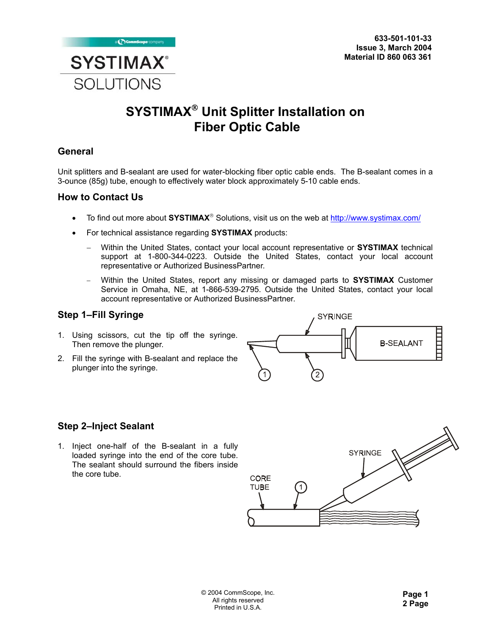

# **SYSTIMAX Unit Splitter Installation on Fiber Optic Cable**

## **General**

Unit splitters and B-sealant are used for water-blocking fiber optic cable ends. The B-sealant comes in a 3-ounce (85g) tube, enough to effectively water block approximately 5-10 cable ends.

#### **How to Contact Us**

- To find out more about **SYSTIMAX**<sup>®</sup> Solutions, visit us on the web at http://www.systimax.com/
- For technical assistance regarding **SYSTIMAX** products:
	- − Within the United States, contact your local account representative or **SYSTIMAX** technical support at 1-800-344-0223. Outside the United States, contact your local account representative or Authorized BusinessPartner.
	- − Within the United States, report any missing or damaged parts to **SYSTIMAX** Customer Service in Omaha, NE, at 1-866-539-2795. Outside the United States, contact your local account representative or Authorized BusinessPartner.

#### **Step 1–Fill Syringe**

- 1. Using scissors, cut the tip off the syringe. Then remove the plunger.
- 2. Fill the syringe with B-sealant and replace the plunger into the syringe.



## **Step 2–Inject Sealant**

1. Inject one-half of the B-sealant in a fully loaded syringe into the end of the core tube. The sealant should surround the fibers inside the core tube.